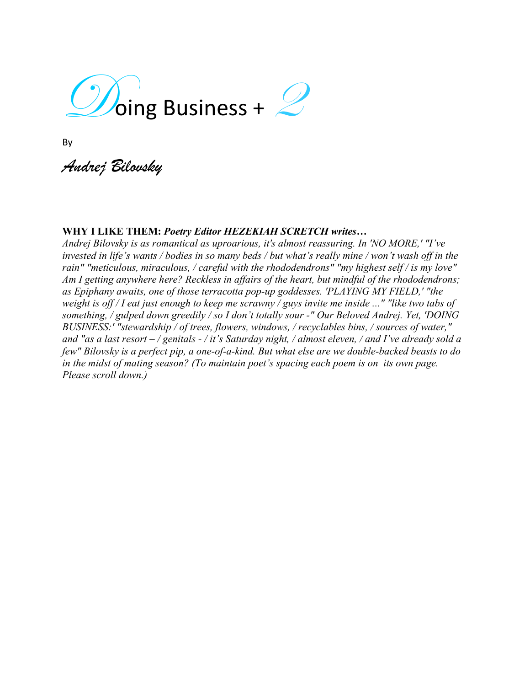

By

*Andrej Bilovsky*

## **WHY I LIKE THEM:** *Poetry Editor HEZEKIAH SCRETCH writes…*

*Andrej Bilovsky is as romantical as uproarious, it's almost reassuring. In 'NO MORE,' "I've invested in life's wants / bodies in so many beds / but what's really mine / won't wash off in the rain" "meticulous, miraculous, / careful with the rhododendrons" "my highest self / is my love" Am I getting anywhere here? Reckless in affairs of the heart, but mindful of the rhododendrons; as Epiphany awaits, one of those terracotta pop-up goddesses. 'PLAYING MY FIELD,' "the weight is off / I eat just enough to keep me scrawny / guys invite me inside ..." "like two tabs of something, / gulped down greedily / so I don't totally sour -" Our Beloved Andrej. Yet, 'DOING BUSINESS:' "stewardship / of trees, flowers, windows, / recyclables bins, / sources of water," and "as a last resort – / genitals - / it's Saturday night, / almost eleven, / and I've already sold a few" Bilovsky is a perfect pip, a one-of-a-kind. But what else are we double-backed beasts to do in the midst of mating season? (To maintain poet's spacing each poem is on its own page. Please scroll down.)*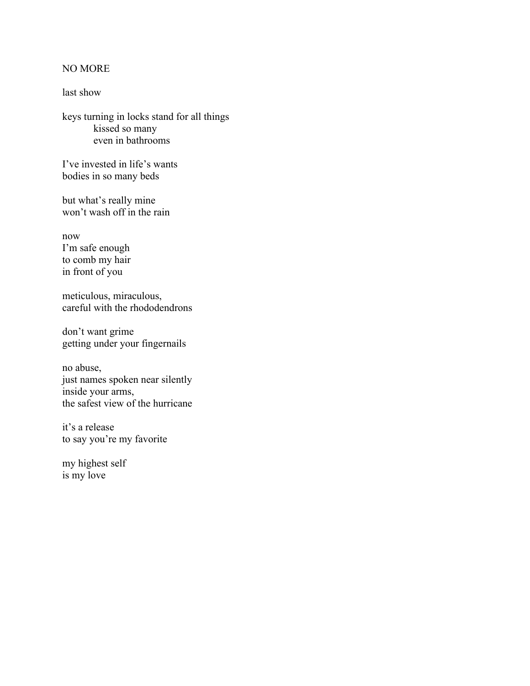## NO MORE

last show

keys turning in locks stand for all things kissed so many even in bathrooms

I've invested in life's wants bodies in so many beds

but what's really mine won't wash off in the rain

now I'm safe enough to comb my hair in front of you

meticulous, miraculous, careful with the rhododendrons

don't want grime getting under your fingernails

no abuse, just names spoken near silently inside your arms, the safest view of the hurricane

it's a release to say you're my favorite

my highest self is my love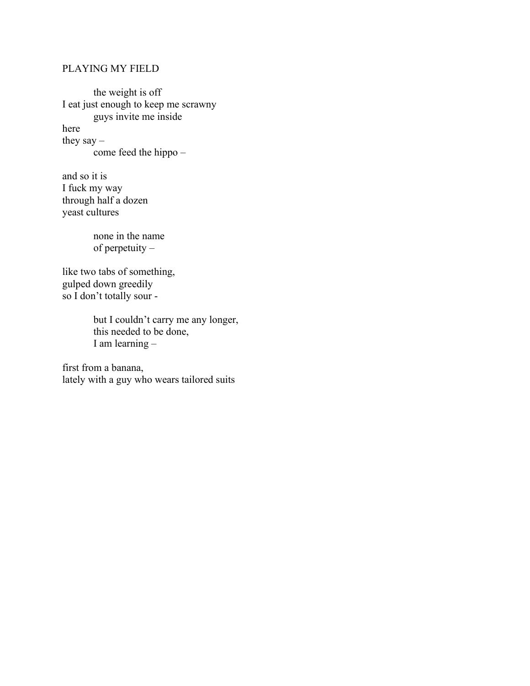## PLAYING MY FIELD

the weight is off I eat just enough to keep me scrawny guys invite me inside here they say  $$ come feed the hippo –

and so it is I fuck my way through half a dozen yeast cultures

> none in the name of perpetuity –

like two tabs of something, gulped down greedily so I don't totally sour -

> but I couldn't carry me any longer, this needed to be done, I am learning –

first from a banana, lately with a guy who wears tailored suits